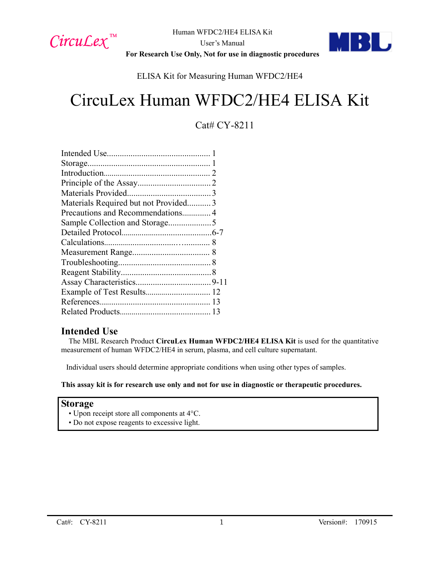



**For Research Use Only, Not for use in diagnostic procedures**

ELISA Kit for Measuring Human WFDC2/HE4

# CircuLex Human WFDC2/HE4 ELISA Kit

### Cat# CY-8211

| Materials Required but not Provided3 |  |
|--------------------------------------|--|
| Precautions and Recommendations 4    |  |
|                                      |  |
|                                      |  |
|                                      |  |
|                                      |  |
|                                      |  |
|                                      |  |
|                                      |  |
|                                      |  |
|                                      |  |
|                                      |  |
|                                      |  |

#### **Intended Use**

The MBL Research Product **CircuLex Human WFDC2/HE4 ELISA Kit** is used for the quantitative measurement of human WFDC2/HE4 in serum, plasma, and cell culture supernatant.

Individual users should determine appropriate conditions when using other types of samples.

#### **This assay kit is for research use only and not for use in diagnostic or therapeutic procedures.**

#### **Storage**

- Upon receipt store all components at 4°C.
- Do not expose reagents to excessive light.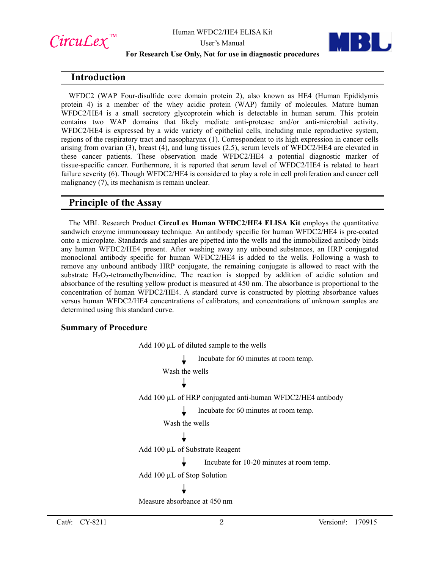

#### **For Research Use Only, Not for use in diagnostic procedures**



WFDC2 (WAP Four-disulfide core domain protein 2), also known as HE4 (Human Epididymis protein 4) is a member of the whey acidic protein (WAP) family of molecules. Mature human WFDC2/HE4 is a small secretory glycoprotein which is detectable in human serum. This protein contains two WAP domains that likely mediate anti-protease and/or anti-microbial activity. WFDC2/HE4 is expressed by a wide variety of epithelial cells, including male reproductive system, regions of the respiratory tract and nasopharynx (1). Correspondent to its high expression in cancer cells arising from ovarian (3), breast (4), and lung tissues (2,5), serum levels of WFDC2/HE4 are elevated in these cancer patients. These observation made WFDC2/HE4 a potential diagnostic marker of tissue-specific cancer. Furthermore, it is reported that serum level of WFDC2/HE4 is related to heart failure severity (6). Though WFDC2/HE4 is considered to play a role in cell proliferation and cancer cell malignancy (7), its mechanism is remain unclear.

#### **Principle of the Assay**

The MBL Research Product **CircuLex Human WFDC2/HE4 ELISA Kit** employs the quantitative sandwich enzyme immunoassay technique. An antibody specific for human WFDC2/HE4 is pre-coated onto a microplate. Standards and samples are pipetted into the wells and the immobilized antibody binds any human WFDC2/HE4 present. After washing away any unbound substances, an HRP conjugated monoclonal antibody specific for human WFDC2/HE4 is added to the wells. Following a wash to remove any unbound antibody HRP conjugate, the remaining conjugate is allowed to react with the substrate  $H_2O_2$ -tetramethylbenzidine. The reaction is stopped by addition of acidic solution and absorbance of the resulting yellow product is measured at 450 nm. The absorbance is proportional to the concentration of human WFDC2/HE4. A standard curve is constructed by plotting absorbance values versus human WFDC2/HE4 concentrations of calibrators, and concentrations of unknown samples are determined using this standard curve.

#### **Summary of Procedure**

Add 100  $\mu$ L of diluted sample to the wells Incubate for 60 minutes at room temp. Wash the wells Add 100 µL of HRP conjugated anti-human WFDC2/HE4 antibody Incubate for 60 minutes at room temp. Wash the wells Add 100 µL of Substrate Reagent Incubate for 10-20 minutes at room temp. Add 100 µL of Stop Solution Measure absorbance at 450 nm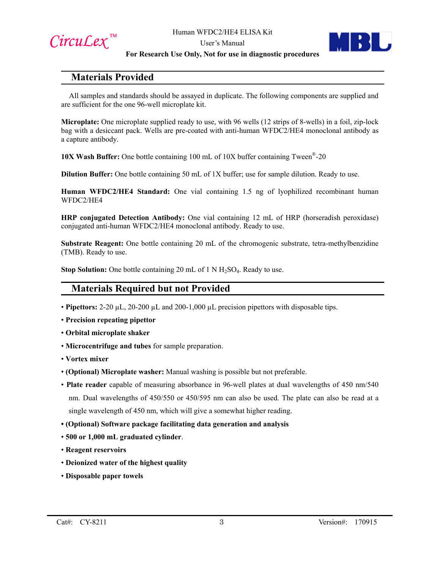



#### **For Research Use Only, Not for use in diagnostic procedures**

#### **Materials Provided**

All samples and standards should be assayed in duplicate. The following components are supplied and are sufficient for the one 96-well microplate kit.

**Microplate:** One microplate supplied ready to use, with 96 wells (12 strips of 8-wells) in a foil, zip-lock bag with a desiccant pack. Wells are pre-coated with anti-human WFDC2/HE4 monoclonal antibody as a capture antibody.

**10X Wash Buffer:** One bottle containing 100 mL of 10X buffer containing Tween®-20

**Dilution Buffer:** One bottle containing 50 mL of 1X buffer; use for sample dilution. Ready to use.

**Human WFDC2/HE4 Standard:** One vial containing 1.5 ng of lyophilized recombinant human WFDC2/HE4

**HRP conjugated Detection Antibody:** One vial containing 12 mL of HRP (horseradish peroxidase) conjugated anti-human WFDC2/HE4 monoclonal antibody. Ready to use.

**Substrate Reagent:** One bottle containing 20 mL of the chromogenic substrate, tetra-methylbenzidine (TMB). Ready to use.

**Stop Solution:** One bottle containing 20 mL of 1 N H<sub>2</sub>SO<sub>4</sub>. Ready to use.

#### **Materials Required but not Provided**

- **Pipettors:** 2-20 µL, 20-200 µL and 200-1,000 µL precision pipettors with disposable tips.
- **Precision repeating pipettor**
- **Orbital microplate shaker**
- **Microcentrifuge and tubes** for sample preparation.
- **Vortex mixer**
- **(Optional) Microplate washer:** Manual washing is possible but not preferable.
- **Plate reader** capable of measuring absorbance in 96-well plates at dual wavelengths of 450 nm/540 nm. Dual wavelengths of 450/550 or 450/595 nm can also be used. The plate can also be read at a single wavelength of 450 nm, which will give a somewhat higher reading.
- **(Optional) Software package facilitating data generation and analysis**
- **500 or 1,000 mL graduated cylinder**.
- **Reagent reservoirs**
- **Deionized water of the highest quality**
- **Disposable paper towels**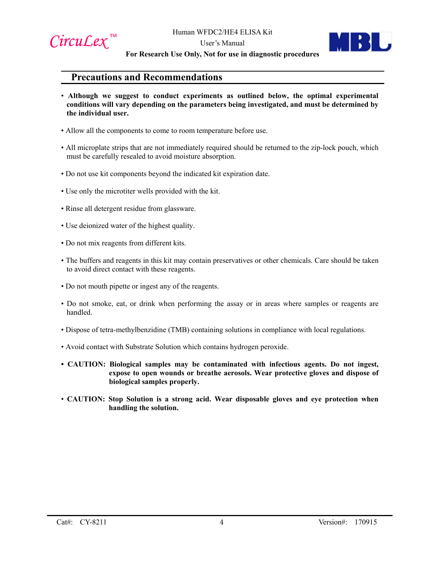

#### User's Manual **For Research Use Only, Not for use in diagnostic procedures**

#### **Precautions and Recommendations**

- **Although we suggest to conduct experiments as outlined below, the optimal experimental conditions will vary depending on the parameters being investigated, and must be determined by the individual user.**
- Allow all the components to come to room temperature before use.
- All microplate strips that are not immediately required should be returned to the zip-lock pouch, which must be carefully resealed to avoid moisture absorption.
- Do not use kit components beyond the indicated kit expiration date.
- Use only the microtiter wells provided with the kit.
- Rinse all detergent residue from glassware.
- Use deionized water of the highest quality.
- Do not mix reagents from different kits.
- The buffers and reagents in this kit may contain preservatives or other chemicals. Care should be taken to avoid direct contact with these reagents.
- Do not mouth pipette or ingest any of the reagents.
- Do not smoke, eat, or drink when performing the assay or in areas where samples or reagents are handled.
- Dispose of tetra-methylbenzidine (TMB) containing solutions in compliance with local regulations.
- Avoid contact with Substrate Solution which contains hydrogen peroxide.
- **CAUTION: Biological samples may be contaminated with infectious agents. Do not ingest, expose to open wounds or breathe aerosols. Wear protective gloves and dispose of biological samples properly.**
- **CAUTION: Stop Solution is a strong acid. Wear disposable gloves and eye protection when handling the solution.**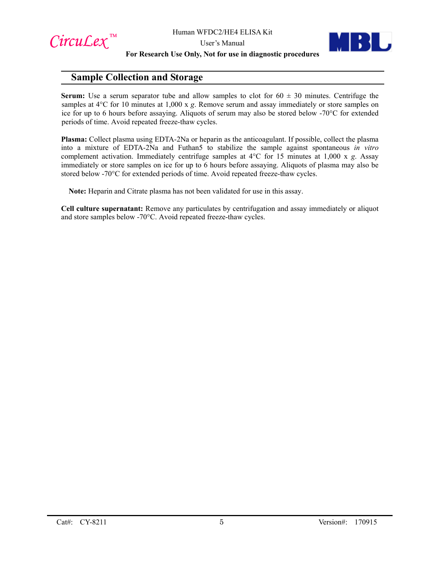



#### **For Research Use Only, Not for use in diagnostic procedures**

#### **Sample Collection and Storage**

**Serum:** Use a serum separator tube and allow samples to clot for  $60 \pm 30$  minutes. Centrifuge the samples at 4°C for 10 minutes at 1,000 x *g*. Remove serum and assay immediately or store samples on ice for up to 6 hours before assaying. Aliquots of serum may also be stored below -70°C for extended periods of time. Avoid repeated freeze-thaw cycles.

**Plasma:** Collect plasma using EDTA-2Na or heparin as the anticoagulant. If possible, collect the plasma into a mixture of EDTA-2Na and Futhan5 to stabilize the sample against spontaneous *in vitro*  complement activation. Immediately centrifuge samples at 4°C for 15 minutes at 1,000 x *g*. Assay immediately or store samples on ice for up to 6 hours before assaying. Aliquots of plasma may also be stored below -70°C for extended periods of time. Avoid repeated freeze-thaw cycles.

**Note:** Heparin and Citrate plasma has not been validated for use in this assay.

**Cell culture supernatant:** Remove any particulates by centrifugation and assay immediately or aliquot and store samples below -70°C. Avoid repeated freeze-thaw cycles.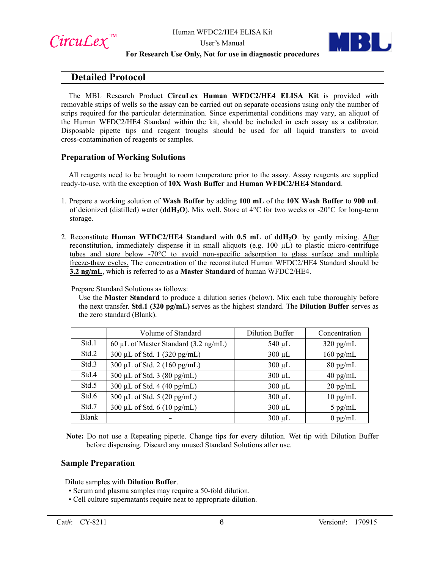





#### **For Research Use Only, Not for use in diagnostic procedures**

#### **Detailed Protocol**

The MBL Research Product **CircuLex Human WFDC2/HE4 ELISA Kit** is provided with removable strips of wells so the assay can be carried out on separate occasions using only the number of strips required for the particular determination. Since experimental conditions may vary, an aliquot of the Human WFDC2/HE4 Standard within the kit, should be included in each assay as a calibrator. Disposable pipette tips and reagent troughs should be used for all liquid transfers to avoid cross-contamination of reagents or samples.

#### **Preparation of Working Solutions**

All reagents need to be brought to room temperature prior to the assay. Assay reagents are supplied ready-to-use, with the exception of **10X Wash Buffer** and **Human WFDC2/HE4 Standard**.

- 1. Prepare a working solution of **Wash Buffer** by adding **100 mL** of the **10X Wash Buffer** to **900 mL** of deionized (distilled) water (**ddH2O**). Mix well. Store at 4°C for two weeks or -20°C for long-term storage.
- 2. Reconstitute **Human WFDC2/HE4 Standard** with **0.5 mL** of **ddH2O**. by gently mixing. After reconstitution, immediately dispense it in small aliquots (e.g. 100 µL) to plastic micro-centrifuge tubes and store below -70°C to avoid non-specific adsorption to glass surface and multiple freeze-thaw cycles. The concentration of the reconstituted Human WFDC2/HE4 Standard should be **3.2 ng/mL**, which is referred to as a **Master Standard** of human WFDC2/HE4.

Prepare Standard Solutions as follows:

Use the **Master Standard** to produce a dilution series (below). Mix each tube thoroughly before the next transfer. **Std.1 (320 pg/mL)** serves as the highest standard. The **Dilution Buffer** serves as the zero standard (Blank).

|              | Volume of Standard                             | <b>Dilution Buffer</b> | Concentration       |
|--------------|------------------------------------------------|------------------------|---------------------|
| Std.1        | 60 µL of Master Standard $(3.2 \text{ ng/mL})$ | $540 \mu L$            | $320 \text{ pg/mL}$ |
| Std.2        | 300 µL of Std. 1 (320 pg/mL)                   | $300 \mu L$            | $160$ pg/mL         |
| Std.3        | 300 μL of Std. 2 (160 pg/mL)                   | $300 \mu L$            | $80 \text{ pg/mL}$  |
| Std.4        | 300 µL of Std. $3(80 \text{ pg/mL})$           | $300 \mu L$            | $40$ pg/mL          |
| Std.5        | 300 µL of Std. 4 (40 pg/mL)                    | $300 \mu L$            | $20 \text{ pg/mL}$  |
| Std.6        | 300 μL of Std. 5 (20 pg/mL)                    | $300 \mu L$            | $10 \text{ pg/mL}$  |
| Std.7        | 300 µL of Std. $6(10 \text{ pg/mL})$           | $300 \mu L$            | $5$ pg/mL           |
| <b>Blank</b> |                                                | $300 \mu L$            | $0$ pg/mL           |

**Note:** Do not use a Repeating pipette. Change tips for every dilution. Wet tip with Dilution Buffer before dispensing. Discard any unused Standard Solutions after use.

#### **Sample Preparation**

Dilute samples with **Dilution Buffer**.

- Serum and plasma samples may require a 50-fold dilution.
- Cell culture supernatants require neat to appropriate dilution.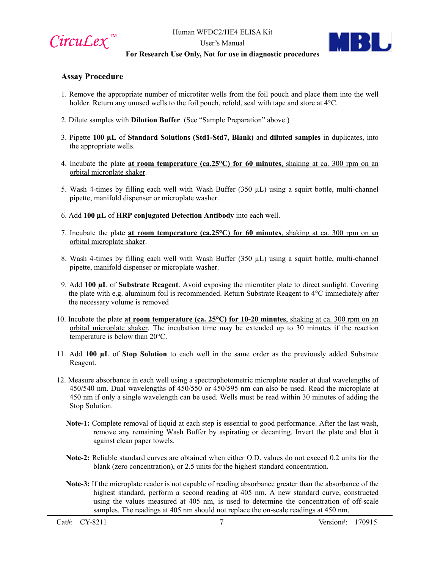

#### **For Research Use Only, Not for use in diagnostic procedures**

#### **Assay Procedure**

- 1. Remove the appropriate number of microtiter wells from the foil pouch and place them into the well holder. Return any unused wells to the foil pouch, refold, seal with tape and store at 4°C.
- 2. Dilute samples with **Dilution Buffer**. (See "Sample Preparation" above.)
- 3. Pipette **100 µL** of **Standard Solutions (Std1-Std7, Blank)** and **diluted samples** in duplicates, into the appropriate wells.
- 4. Incubate the plate **at room temperature (ca.25°C) for 60 minutes**, shaking at ca. 300 rpm on an orbital microplate shaker.
- 5. Wash 4-times by filling each well with Wash Buffer  $(350 \mu L)$  using a squirt bottle, multi-channel pipette, manifold dispenser or microplate washer.
- 6. Add **100 µL** of **HRP conjugated Detection Antibody** into each well.
- 7. Incubate the plate **at room temperature (ca.25°C) for 60 minutes**, shaking at ca. 300 rpm on an orbital microplate shaker.
- 8. Wash 4-times by filling each well with Wash Buffer  $(350 \mu L)$  using a squirt bottle, multi-channel pipette, manifold dispenser or microplate washer.
- 9. Add **100 µL** of **Substrate Reagent**. Avoid exposing the microtiter plate to direct sunlight. Covering the plate with e.g. aluminum foil is recommended. Return Substrate Reagent to 4°C immediately after the necessary volume is removed
- 10. Incubate the plate **at room temperature (ca. 25°C) for 10-20 minutes**, shaking at ca. 300 rpm on an orbital microplate shaker. The incubation time may be extended up to 30 minutes if the reaction temperature is below than 20°C.
- 11. Add **100 µL** of **Stop Solution** to each well in the same order as the previously added Substrate Reagent.
- 12. Measure absorbance in each well using a spectrophotometric microplate reader at dual wavelengths of 450/540 nm. Dual wavelengths of 450/550 or 450/595 nm can also be used. Read the microplate at 450 nm if only a single wavelength can be used. Wells must be read within 30 minutes of adding the Stop Solution.
	- **Note-1:** Complete removal of liquid at each step is essential to good performance. After the last wash, remove any remaining Wash Buffer by aspirating or decanting. Invert the plate and blot it against clean paper towels.
	- **Note-2:** Reliable standard curves are obtained when either O.D. values do not exceed 0.2 units for the blank (zero concentration), or 2.5 units for the highest standard concentration.
	- **Note-3:** If the microplate reader is not capable of reading absorbance greater than the absorbance of the highest standard, perform a second reading at 405 nm. A new standard curve, constructed using the values measured at 405 nm, is used to determine the concentration of off-scale samples. The readings at 405 nm should not replace the on-scale readings at 450 nm.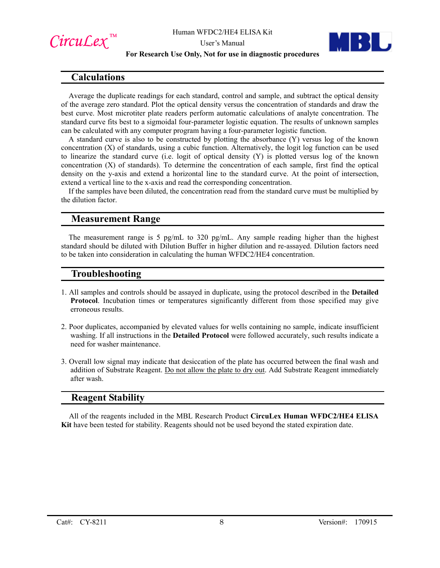

#### **For Research Use Only, Not for use in diagnostic procedures**



#### **Calculations**

Average the duplicate readings for each standard, control and sample, and subtract the optical density of the average zero standard. Plot the optical density versus the concentration of standards and draw the best curve. Most microtiter plate readers perform automatic calculations of analyte concentration. The standard curve fits best to a sigmoidal four-parameter logistic equation. The results of unknown samples can be calculated with any computer program having a four-parameter logistic function.

A standard curve is also to be constructed by plotting the absorbance (Y) versus log of the known concentration (X) of standards, using a cubic function. Alternatively, the logit log function can be used to linearize the standard curve (i.e. logit of optical density (Y) is plotted versus log of the known concentration (X) of standards). To determine the concentration of each sample, first find the optical density on the y-axis and extend a horizontal line to the standard curve. At the point of intersection, extend a vertical line to the x-axis and read the corresponding concentration.

If the samples have been diluted, the concentration read from the standard curve must be multiplied by the dilution factor.

#### **Measurement Range**

The measurement range is 5 pg/mL to 320 pg/mL. Any sample reading higher than the highest standard should be diluted with Dilution Buffer in higher dilution and re-assayed. Dilution factors need to be taken into consideration in calculating the human WFDC2/HE4 concentration.

#### **Troubleshooting**

- 1. All samples and controls should be assayed in duplicate, using the protocol described in the **Detailed Protocol**. Incubation times or temperatures significantly different from those specified may give erroneous results.
- 2. Poor duplicates, accompanied by elevated values for wells containing no sample, indicate insufficient washing. If all instructions in the **Detailed Protocol** were followed accurately, such results indicate a need for washer maintenance.
- 3. Overall low signal may indicate that desiccation of the plate has occurred between the final wash and addition of Substrate Reagent. Do not allow the plate to dry out. Add Substrate Reagent immediately after wash.

#### **Reagent Stability**

All of the reagents included in the MBL Research Product **CircuLex Human WFDC2/HE4 ELISA Kit** have been tested for stability. Reagents should not be used beyond the stated expiration date.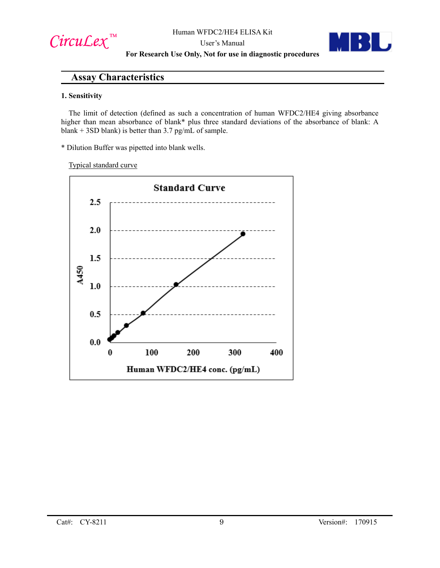$Circu$ *Lex*™

User's Manual **For Research Use Only, Not for use in diagnostic procedures**

#### **Assay Characteristics**

#### **1. Sensitivity**

The limit of detection (defined as such a concentration of human WFDC2/HE4 giving absorbance higher than mean absorbance of blank\* plus three standard deviations of the absorbance of blank: A blank + 3SD blank) is better than  $3.7$  pg/mL of sample.

\* Dilution Buffer was pipetted into blank wells.

Typical standard curve

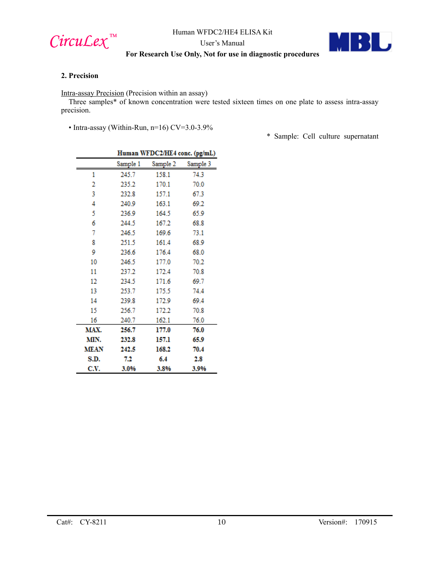

Human WFDC2/HE4 ELISA Kit

User's Manual

#### BU ÷.

#### **For Research Use Only, Not for use in diagnostic procedures**

#### **2. Precision**

Intra-assay Precision (Precision within an assay)

Three samples\* of known concentration were tested sixteen times on one plate to assess intra-assay precision.

• Intra-assay (Within-Run, n=16) CV=3.0-3.9%

\* Sample: Cell culture supernatant

|             | Human WFDC2/HE4 conc. (pg/mL) |          |          |
|-------------|-------------------------------|----------|----------|
|             | Sample 1                      | Sample 2 | Sample 3 |
| 1           | 245.7                         | 158.1    | 74.3     |
| 2           | 235.2                         | 170.1    | 70.0     |
| 3           | 232.8                         | 157.1    | 67.3     |
| 4           | 240.9                         | 163.1    | 69.2     |
| 5           | 236.9                         | 164.5    | 65.9     |
| 6           | 244.5                         | 167.2    | 68.8     |
| 7           | 246.5                         | 169.6    | 73.1     |
| 8           | 251.5                         | 161.4    | 68.9     |
| 9           | 236.6                         | 176.4    | 68.0     |
| 10          | 246.5                         | 177.0    | 70.2     |
| 11          | 237.2                         | 172.4    | 70.8     |
| 12          | 234.5                         | 171.6    | 69.7     |
| 13          | 253.7                         | 175.5    | 74.4     |
| 14          | 239.8                         | 172.9    | 69.4     |
| 15          | 256.7                         | 172.2    | 70.8     |
| 16          | 240.7                         | 162.1    | 76.0     |
| MAX.        | 256.7                         | 177.0    | 76.0     |
| MIN.        | 232.8                         | 157.1    | 65.9     |
| <b>MEAN</b> | 242.5                         | 168.2    | 70.4     |
| S.D.        | 7.2                           | 6.4      | 2.8      |
| C.V.        | 3.0%                          | 3.8%     | 3.9%     |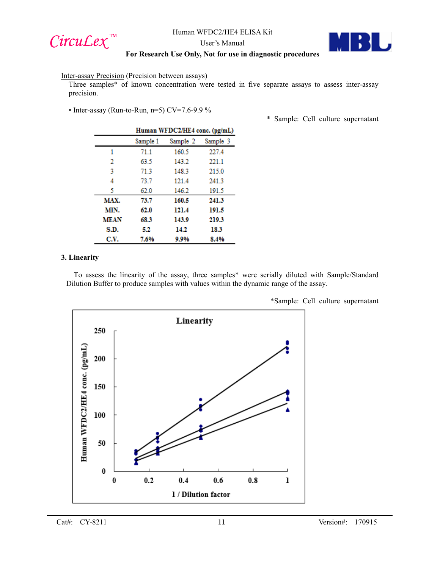

Human WFDC2/HE4 ELISA Kit

User's Manual

#### **For Research Use Only, Not for use in diagnostic procedures**

#### Inter-assay Precision (Precision between assays)

Three samples\* of known concentration were tested in five separate assays to assess inter-assay precision.

• Inter-assay (Run-to-Run, n=5) CV=7.6-9.9 %

|             | Human WFDC2/HE4 conc. (pg/mL) |          |          |
|-------------|-------------------------------|----------|----------|
|             | Sample 1                      | Sample 2 | Sample 3 |
| 1           | 71.1                          | 160.5    | 227.4    |
| 2           | 63.5                          | 143.2    | 221.1    |
| 3           | 71.3                          | 148.3    | 215.0    |
| 4           | 73.7                          | 121.4    | 241.3    |
| 5           | 62.0                          | 146.2    | 191.5    |
| MAX.        | 73.7                          | 160.5    | 241.3    |
| MIN.        | 62.0                          | 121.4    | 191.5    |
| <b>MEAN</b> | 68.3                          | 143.9    | 219.3    |
| S.D.        | 52                            | 14.2     | 18.3     |
| C.V.        | 7.6%                          | 9.9%     | 8.4%     |

\* Sample: Cell culture supernatant

#### **3. Linearity**

To assess the linearity of the assay, three samples\* were serially diluted with Sample/Standard Dilution Buffer to produce samples with values within the dynamic range of the assay.



\*Sample: Cell culture supernatant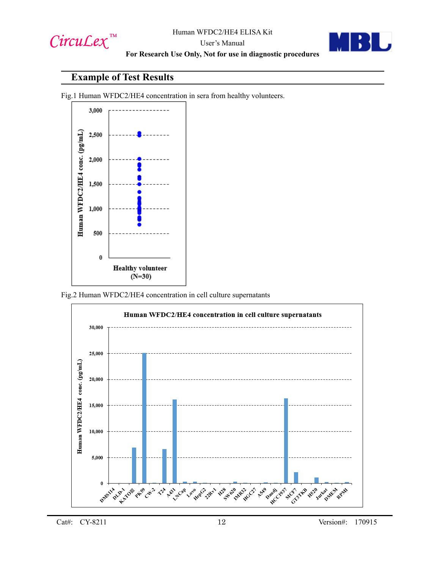

#### User's Manual **For Research Use Only, Not for use in diagnostic procedures**



### **Example of Test Results**

Fig.1 Human WFDC2/HE4 concentration in sera from healthy volunteers.



Fig.2 Human WFDC2/HE4 concentration in cell culture supernatants